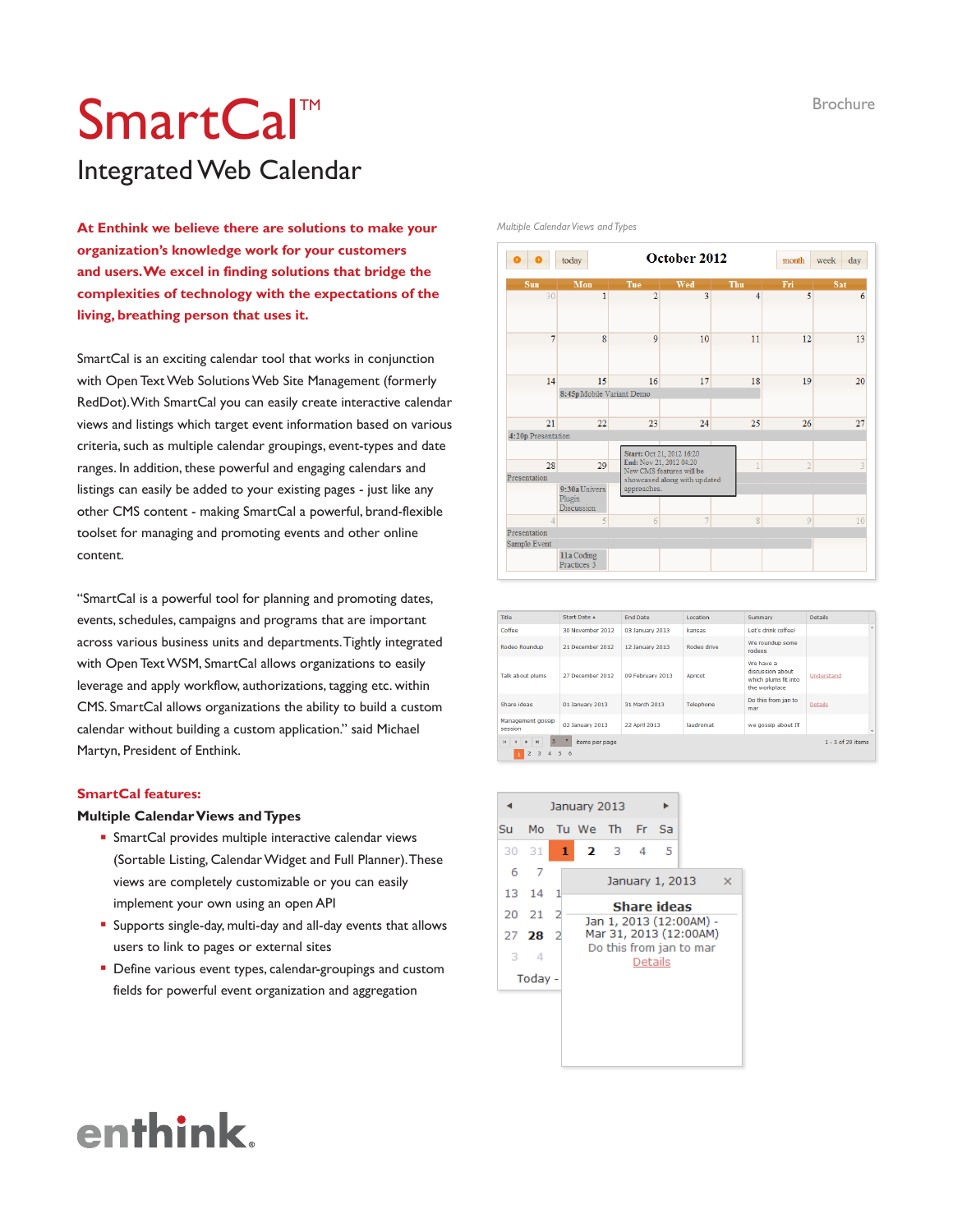#### Brochure

### SmartCal<sup>™</sup> Integrated Web Calendar

**At Enthink we believe there are solutions to make your organization's knowledge work for your customers and users. We excel in finding solutions that bridge the complexities of technology with the expectations of the living, breathing person that uses it.**

SmartCal is an exciting calendar tool that works in conjunction with Open Text Web Solutions Web Site Management (formerly RedDot). With SmartCal you can easily create interactive calendar views and listings which target event information based on various criteria, such as multiple calendar groupings, event-types and date ranges. In addition, these powerful and engaging calendars and listings can easily be added to your existing pages - just like any other CMS content - making SmartCal a powerful, brand-flexible toolset for managing and promoting events and other online content.

"SmartCal is a powerful tool for planning and promoting dates, events, schedules, campaigns and programs that are important across various business units and departments. Tightly integrated with Open Text WSM, SmartCal allows organizations to easily leverage and apply workflow, authorizations, tagging etc. within CMS. SmartCal allows organizations the ability to build a custom calendar without building a custom application." said Michael Martyn, President of Enthink.

#### **SmartCal features:**

#### **Multiple Calendar Views and Types**

- **SmartCal provides multiple interactive calendar views** (Sortable Listing, Calendar Widget and Full Planner). These views are completely customizable or you can easily implement your own using an open API
- <sup>&</sup>lt; Supports single-day, multi-day and all-day events that allows users to link to pages or external sites
- **Define various event types, calendar-groupings and custom** fields for powerful event organization and aggregation



*Multiple Calendar Views and Types*

| Title                                                                                              | Start Date A                        | <b>End Date</b>  | Location    | Summary                                                                | <b>Details</b>      |  |
|----------------------------------------------------------------------------------------------------|-------------------------------------|------------------|-------------|------------------------------------------------------------------------|---------------------|--|
| Coffee                                                                                             | 30 November 2012                    | 03 January 2013  | kansas      | Let's drink coffee!                                                    |                     |  |
| Rodeo Roundup                                                                                      | 21 December 2012                    |                  | Rodeo drive | We roundup some<br>rodeos                                              |                     |  |
| Talk about plums                                                                                   | 27 December 2012                    | 09 February 2013 | Apricot     | We have a<br>discussion about<br>which plums fit into<br>the workplace | Understand          |  |
| Share ideas                                                                                        | 01 January 2013                     | 31 March 2013    | Telephone   | Do this from jan to<br>mar                                             | <b>Details</b>      |  |
| Management gossip<br>session                                                                       | 02 January 2013                     | 22 April 2013    | laudromat   | we gossip about IT                                                     |                     |  |
| H.<br>5<br>$\blacktriangleright$<br>$\blacktriangleright$<br>$\overline{2}$<br>$\overline{3}$<br>4 | items per page<br>$5^{\circ}$<br>-6 |                  |             |                                                                        | $1 - 5$ of 29 items |  |



## enthink.